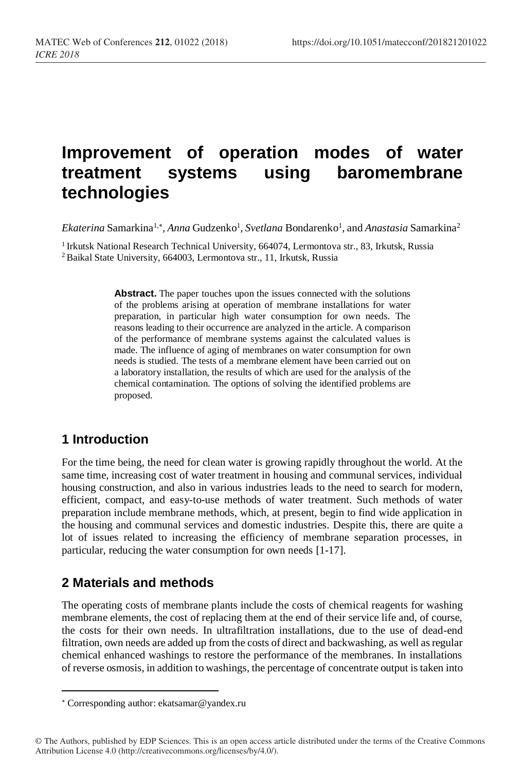# **Improvement of operation modes of water treatment systems using baromembrane technologies**

Ekaterina Samarkina<sup>1,\*</sup>, *Anna* Gudzenko<sup>1</sup>, Svetlana Bondarenko<sup>1</sup>, and *Anastasia* Samarkina<sup>2</sup>

<sup>1</sup> Irkutsk National Research Technical University, 664074, Lermontova str., 83, Irkutsk, Russia <sup>2</sup>Baikal State University, 664003, Lermontova str., 11, Irkutsk, Russia

> **Abstract.** The paper touches upon the issues connected with the solutions of the problems arising at operation of membrane installations for water preparation, in particular high water consumption for own needs. The reasons leading to their occurrence are analyzed in the article. A comparison of the performance of membrane systems against the calculated values is made. The influence of aging of membranes on water consumption for own needs is studied. The tests of a membrane element have been carried out on a laboratory installation, the results of which are used for the analysis of the chemical contamination. The options of solving the identified problems are proposed.

## **1 Introduction**

 $\overline{a}$ 

For the time being, the need for clean water is growing rapidly throughout the world. At the same time, increasing cost of water treatment in housing and communal services, individual housing construction, and also in various industries leads to the need to search for modern, efficient, compact, and easy-to-use methods of water treatment. Such methods of water preparation include membrane methods, which, at present, begin to find wide application in the housing and communal services and domestic industries. Despite this, there are quite a lot of issues related to increasing the efficiency of membrane separation processes, in particular, reducing the water consumption for own needs [1-17].

## **2 Materials and methods**

The operating costs of membrane plants include the costs of chemical reagents for washing membrane elements, the cost of replacing them at the end of their service life and, of course, the costs for their own needs. In ultrafiltration installations, due to the use of dead-end filtration, own needs are added up from the costs of direct and backwashing, as well as regular chemical enhanced washings to restore the performance of the membranes. In installations of reverse osmosis, in addition to washings, the percentage of concentrate output is taken into

Corresponding author[: ekatsamar@yandex.ru](mailto:ekatsamar@yandex.ru)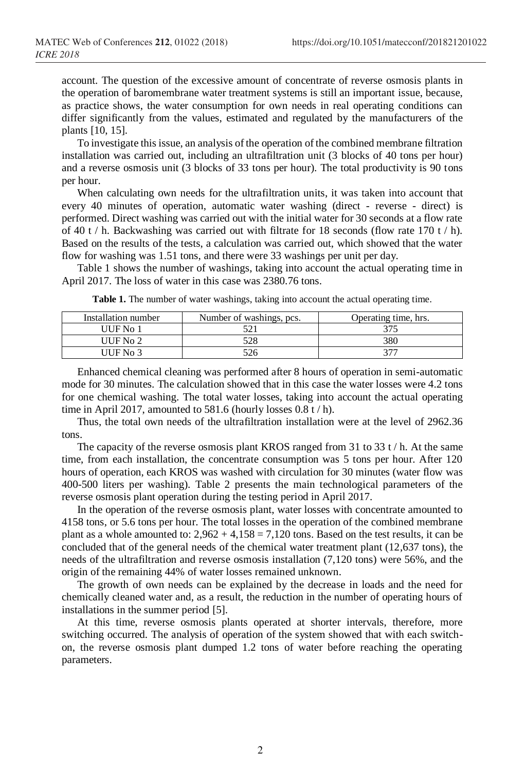account. The question of the excessive amount of concentrate of reverse osmosis plants in the operation of baromembrane water treatment systems is still an important issue, because, as practice shows, the water consumption for own needs in real operating conditions can differ significantly from the values, estimated and regulated by the manufacturers of the plants [10, 15].

To investigate this issue, an analysis of the operation of the combined membrane filtration installation was carried out, including an ultrafiltration unit (3 blocks of 40 tons per hour) and a reverse osmosis unit (3 blocks of 33 tons per hour). The total productivity is 90 tons per hour.

When calculating own needs for the ultrafiltration units, it was taken into account that every 40 minutes of operation, automatic water washing (direct - reverse - direct) is performed. Direct washing was carried out with the initial water for 30 seconds at a flow rate of 40 t / h. Backwashing was carried out with filtrate for 18 seconds (flow rate 170 t / h). Based on the results of the tests, a calculation was carried out, which showed that the water flow for washing was 1.51 tons, and there were 33 washings per unit per day.

Table 1 shows the number of washings, taking into account the actual operating time in April 2017. The loss of water in this case was 2380.76 tons.

| Installation number | Number of washings, pcs. | Operating time, hrs. |
|---------------------|--------------------------|----------------------|
| UUF No 1            |                          |                      |
| UUF No 2            | 528                      | 380                  |
| UUF No 3            |                          |                      |

**Table 1.** The number of water washings, taking into account the actual operating time.

Enhanced chemical cleaning was performed after 8 hours of operation in semi-automatic mode for 30 minutes. The calculation showed that in this case the water losses were 4.2 tons for one chemical washing. The total water losses, taking into account the actual operating time in April 2017, amounted to 581.6 (hourly losses  $0.8 t/h$ ).

Thus, the total own needs of the ultrafiltration installation were at the level of 2962.36 tons.

The capacity of the reverse osmosis plant KROS ranged from 31 to 33 t  $/$  h. At the same time, from each installation, the concentrate consumption was 5 tons per hour. After 120 hours of operation, each KROS was washed with circulation for 30 minutes (water flow was 400-500 liters per washing). Table 2 presents the main technological parameters of the reverse osmosis plant operation during the testing period in April 2017.

In the operation of the reverse osmosis plant, water losses with concentrate amounted to 4158 tons, or 5.6 tons per hour. The total losses in the operation of the combined membrane plant as a whole amounted to:  $2,962 + 4,158 = 7,120$  tons. Based on the test results, it can be concluded that of the general needs of the chemical water treatment plant (12,637 tons), the needs of the ultrafiltration and reverse osmosis installation (7,120 tons) were 56%, and the origin of the remaining 44% of water losses remained unknown.

The growth of own needs can be explained by the decrease in loads and the need for chemically cleaned water and, as a result, the reduction in the number of operating hours of installations in the summer period [5].

At this time, reverse osmosis plants operated at shorter intervals, therefore, more switching occurred. The analysis of operation of the system showed that with each switchon, the reverse osmosis plant dumped 1.2 tons of water before reaching the operating parameters.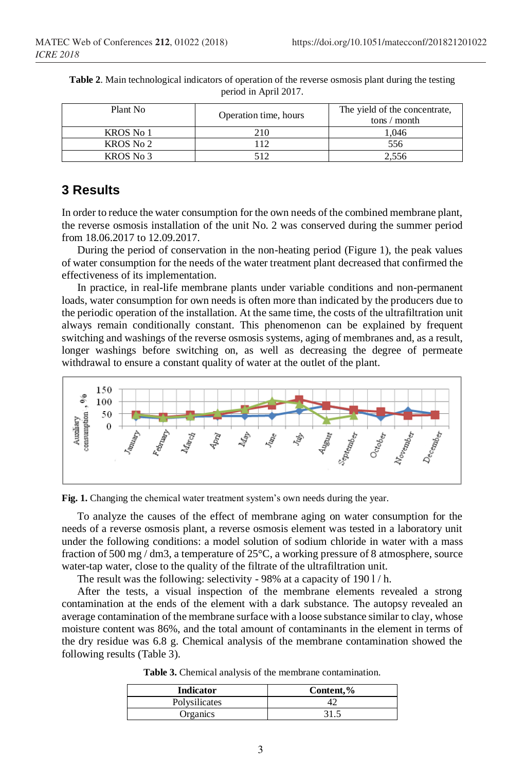| Plant No. | Operation time, hours | The yield of the concentrate,<br>tons / month |
|-----------|-----------------------|-----------------------------------------------|
| KROS No 1 | 210                   | .046                                          |
| KROS No 2 |                       | 556                                           |
| KROS No 3 |                       | 2.556                                         |

**Table 2**. Main technological indicators of operation of the reverse osmosis plant during the testing period in April 2017.

## **3 Results**

In order to reduce the water consumption for the own needs of the combined membrane plant, the reverse osmosis installation of the unit No. 2 was conserved during the summer period from 18.06.2017 to 12.09.2017.

During the period of conservation in the non-heating period (Figure 1), the peak values of water consumption for the needs of the water treatment plant decreased that confirmed the effectiveness of its implementation.

In practice, in real-life membrane plants under variable conditions and non-permanent loads, water consumption for own needs is often more than indicated by the producers due to the periodic operation of the installation. At the same time, the costs of the ultrafiltration unit always remain conditionally constant. This phenomenon can be explained by frequent switching and washings of the reverse osmosis systems, aging of membranes and, as a result, longer washings before switching on, as well as decreasing the degree of permeate withdrawal to ensure a constant quality of water at the outlet of the plant.





To analyze the causes of the effect of membrane aging on water consumption for the needs of a reverse osmosis plant, a reverse osmosis element was tested in a laboratory unit under the following conditions: a model solution of sodium chloride in water with a mass fraction of 500 mg / dm3, a temperature of 25°C, a working pressure of 8 atmosphere, source water-tap water, close to the quality of the filtrate of the ultrafiltration unit.

The result was the following: selectivity - 98% at a capacity of 190 l / h.

After the tests, a visual inspection of the membrane elements revealed a strong contamination at the ends of the element with a dark substance. The autopsy revealed an average contamination of the membrane surface with a loose substance similar to clay, whose moisture content was 86%, and the total amount of contaminants in the element in terms of the dry residue was 6.8 g. Chemical analysis of the membrane contamination showed the following results (Table 3).

| <b>Indicator</b> | Content,% |
|------------------|-----------|
| Polysilicates    |           |
| Organics         |           |

**Table 3.** Chemical analysis of the membrane contamination.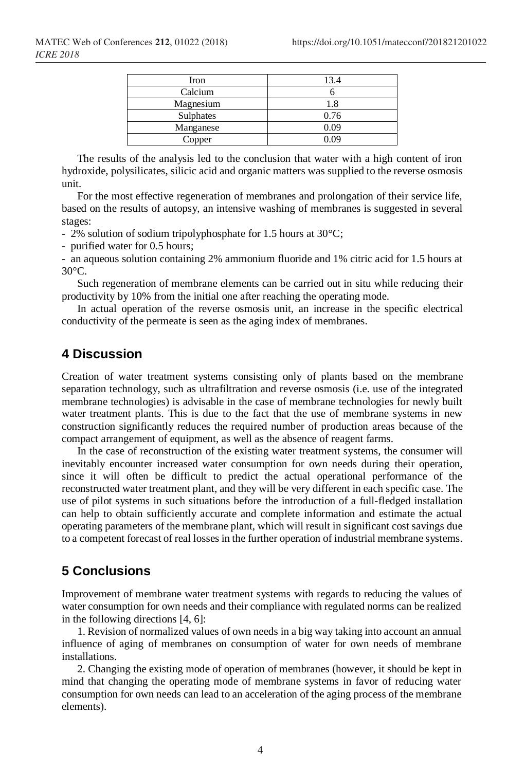| Iron      | 13.4 |
|-----------|------|
| Calcium   |      |
| Magnesium | 1.8  |
| Sulphates | 0.76 |
| Manganese | 0.09 |
| Copper    | ገ በባ |

The results of the analysis led to the conclusion that water with a high content of iron hydroxide, polysilicates, silicic acid and organic matters was supplied to the reverse osmosis unit.

For the most effective regeneration of membranes and prolongation of their service life, based on the results of autopsy, an intensive washing of membranes is suggested in several stages:

- 2% solution of sodium tripolyphosphate for 1.5 hours at 30°C;

- purified water for 0.5 hours;

- an aqueous solution containing 2% ammonium fluoride and 1% citric acid for 1.5 hours at 30°C.

Such regeneration of membrane elements can be carried out in situ while reducing their productivity by 10% from the initial one after reaching the operating mode.

In actual operation of the reverse osmosis unit, an increase in the specific electrical conductivity of the permeate is seen as the aging index of membranes.

## **4 Discussion**

Creation of water treatment systems consisting only of plants based on the membrane separation technology, such as ultrafiltration and reverse osmosis (i.e. use of the integrated membrane technologies) is advisable in the case of membrane technologies for newly built water treatment plants. This is due to the fact that the use of membrane systems in new construction significantly reduces the required number of production areas because of the compact arrangement of equipment, as well as the absence of reagent farms.

In the case of reconstruction of the existing water treatment systems, the consumer will inevitably encounter increased water consumption for own needs during their operation, since it will often be difficult to predict the actual operational performance of the reconstructed water treatment plant, and they will be very different in each specific case. The use of pilot systems in such situations before the introduction of a full-fledged installation can help to obtain sufficiently accurate and complete information and estimate the actual operating parameters of the membrane plant, which will result in significant cost savings due to a competent forecast of real losses in the further operation of industrial membrane systems.

## **5 Conclusions**

Improvement of membrane water treatment systems with regards to reducing the values of water consumption for own needs and their compliance with regulated norms can be realized in the following directions [4, 6]:

1. Revision of normalized values of own needs in a big way taking into account an annual influence of aging of membranes on consumption of water for own needs of membrane installations.

2. Changing the existing mode of operation of membranes (however, it should be kept in mind that changing the operating mode of membrane systems in favor of reducing water consumption for own needs can lead to an acceleration of the aging process of the membrane elements).